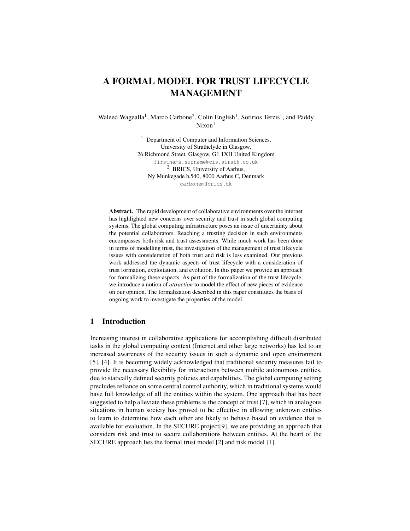# **A FORMAL MODEL FOR TRUST LIFECYCLE MANAGEMENT**

Waleed Wagealla<sup>1</sup>, Marco Carbone<sup>2</sup>, Colin English<sup>1</sup>, Sotirios Terzis<sup>1</sup>, and Paddy  $Nixon<sup>1</sup>$ 

> <sup>1</sup> Department of Computer and Information Sciences, University of Strathclyde in Glasgow, 26 Richmond Street, Glasgow, G1 1XH United Kingdom firstname.surname@cis.strath.co.uk <sup>2</sup> BRICS, University of Aarhus, Ny Munkegade b.540, 8000 Aarhus C, Denmark carbonem@brics.dk

**Abstract.** The rapid development of collaborative environments over the internet has highlighted new concerns over security and trust in such global computing systems. The global computing infrastructure poses an issue of uncertainty about the potential collaborators. Reaching a trusting decision in such environments encompasses both risk and trust assessments. While much work has been done in terms of modelling trust, the investigation of the management of trust lifecycle issues with consideration of both trust and risk is less examined. Our previous work addressed the dynamic aspects of trust lifecycle with a consideration of trust formation, exploitation, and evolution. In this paper we provide an approach for formalizing these aspects. As part of the formalization of the trust lifecycle, we introduce a notion of *attraction* to model the effect of new pieces of evidence on our opinion. The formalization described in this paper constitutes the basis of ongoing work to investigate the properties of the model.

## **1 Introduction**

Increasing interest in collaborative applications for accomplishing difficult distributed tasks in the global computing context (Internet and other large networks) has led to an increased awareness of the security issues in such a dynamic and open environment [5], [4]. It is becoming widely acknowledged that traditional security measures fail to provide the necessary flexibility for interactions between mobile autonomous entities, due to statically defined security policies and capabilities. The global computing setting precludes reliance on some central control authority, which in traditional systems would have full knowledge of all the entities within the system. One approach that has been suggested to help alleviate these problems is the concept of trust [7], which in analogous situations in human society has proved to be effective in allowing unknown entities to learn to determine how each other are likely to behave based on evidence that is available for evaluation. In the SECURE project[9], we are providing an approach that considers risk and trust to secure collaborations between entities. At the heart of the SECURE approach lies the formal trust model [2] and risk model [1].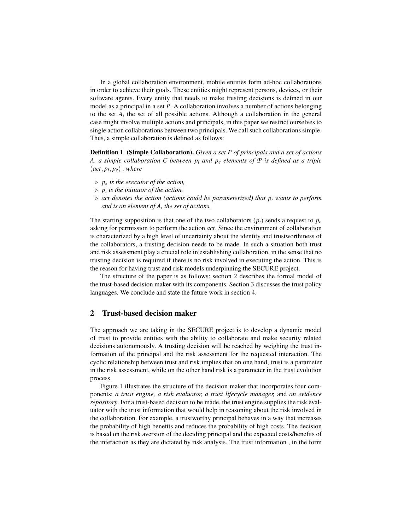In a global collaboration environment, mobile entities form ad-hoc collaborations in order to achieve their goals. These entities might represent persons, devices, or their software agents. Every entity that needs to make trusting decisions is defined in our model as a principal in a set *P*. A collaboration involves a number of actions belonging to the set *A*, the set of all possible actions. Although a collaboration in the general case might involve multiple actions and principals, in this paper we restrict ourselves to single action collaborations between two principals. We call such collaborations simple. Thus, a simple collaboration is defined as follows:

**Definition 1 (Simple Collaboration).** *Given a set P of principals and a set of actions A, a simple collaboration C between p<sup>i</sup> and p<sup>e</sup> elements of P is defined as a triple*  $(act, p_i, p_e)$ , where

- ⊲ *p<sup>e</sup> is the executor of the action,*
- ⊲ *p<sup>i</sup> is the initiator of the action,*
- ⊲ *act denotes the action (actions could be parameterized) that p<sup>i</sup> wants to perform and is an element of A, the set of actions.*

The starting supposition is that one of the two collaborators  $(p_i)$  sends a request to  $p_e$ asking for permission to perform the action *act*. Since the environment of collaboration is characterized by a high level of uncertainty about the identity and trustworthiness of the collaborators, a trusting decision needs to be made. In such a situation both trust and risk assessment play a crucial role in establishing collaboration, in the sense that no trusting decision is required if there is no risk involved in executing the action. This is the reason for having trust and risk models underpinning the SECURE project.

The structure of the paper is as follows: section 2 describes the formal model of the trust-based decision maker with its components. Section 3 discusses the trust policy languages. We conclude and state the future work in section 4.

# **2 Trust-based decision maker**

The approach we are taking in the SECURE project is to develop a dynamic model of trust to provide entities with the ability to collaborate and make security related decisions autonomously. A trusting decision will be reached by weighing the trust information of the principal and the risk assessment for the requested interaction. The cyclic relationship between trust and risk implies that on one hand, trust is a parameter in the risk assessment, while on the other hand risk is a parameter in the trust evolution process.

Figure 1 illustrates the structure of the decision maker that incorporates four components: *a trust engine, a risk evaluator, a trust lifecycle manager,* and *an evidence repository*. For a trust-based decision to be made, the trust engine supplies the risk evaluator with the trust information that would help in reasoning about the risk involved in the collaboration. For example, a trustworthy principal behaves in a way that increases the probability of high benefits and reduces the probability of high costs. The decision is based on the risk aversion of the deciding principal and the expected costs/benefits of the interaction as they are dictated by risk analysis. The trust information , in the form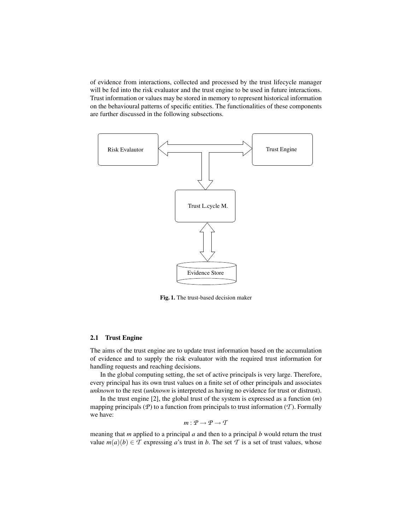of evidence from interactions, collected and processed by the trust lifecycle manager will be fed into the risk evaluator and the trust engine to be used in future interactions. Trust information or values may be stored in memory to represent historical information on the behavioural patterns of specific entities. The functionalities of these components are further discussed in the following subsections.



**Fig. 1.** The trust-based decision maker

#### **2.1 Trust Engine**

The aims of the trust engine are to update trust information based on the accumulation of evidence and to supply the risk evaluator with the required trust information for handling requests and reaching decisions.

In the global computing setting, the set of active principals is very large. Therefore, every principal has its own trust values on a finite set of other principals and associates *unknown* to the rest (*unknown* is interpreted as having no evidence for trust or distrust).

In the trust engine [2], the global trust of the system is expressed as a function (*m*) mapping principals ( $\mathcal{P}$ ) to a function from principals to trust information ( $\mathcal{T}$ ). Formally we have:

$$
m: \mathcal{P} \to \mathcal{P} \to \mathcal{T}
$$

meaning that *m* applied to a principal *a* and then to a principal *b* would return the trust value  $m(a)(b) \in \mathcal{T}$  expressing *a*'s trust in *b*. The set  $\mathcal{T}$  is a set of trust values, whose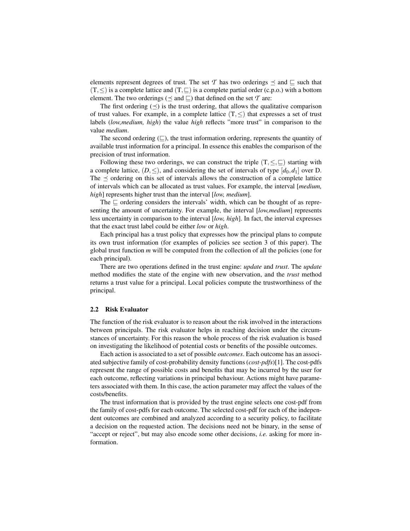elements represent degrees of trust. The set T has two orderings  $\preceq$  and  $\sqsubseteq$  such that  $(T, \leq)$  is a complete lattice and  $(T, \subseteq)$  is a complete partial order (c.p.o.) with a bottom element. The two orderings ( $\preceq$  and  $\sqsubseteq$ ) that defined on the set *T* are:

The first ordering  $(\preceq)$  is the trust ordering, that allows the qualitative comparison of trust values. For example, in a complete lattice  $(T, \leq)$  that expresses a set of trust labels (*low,medium, high*) the value *high* reflects "more trust" in comparison to the value *medium*.

The second ordering (⊑), the trust information ordering, represents the quantity of available trust information for a principal. In essence this enables the comparison of the precision of trust information.

Following these two orderings, we can construct the triple  $(T, \leq, \sqsubseteq)$  starting with a complete lattice,  $(D, \leq)$ , and considering the set of intervals of type  $[d_0, d_1]$  over D. The  $\prec$  ordering on this set of intervals allows the construction of a complete lattice of intervals which can be allocated as trust values. For example, the interval [*medium, high*] represents higher trust than the interval [*low, medium*].

The ⊑ ordering considers the intervals' width, which can be thought of as representing the amount of uncertainty. For example, the interval [*low,medium*] represents less uncertainty in comparison to the interval [*low, high*]. In fact, the interval expresses that the exact trust label could be either *low* or *high*.

Each principal has a trust policy that expresses how the principal plans to compute its own trust information (for examples of policies see section 3 of this paper). The global trust function *m* will be computed from the collection of all the policies (one for each principal).

There are two operations defined in the trust engine: *update* and *trust*. The *update* method modifies the state of the engine with new observation, and the *trust* method returns a trust value for a principal. Local policies compute the trustworthiness of the principal.

#### **2.2 Risk Evaluator**

The function of the risk evaluator is to reason about the risk involved in the interactions between principals. The risk evaluator helps in reaching decision under the circumstances of uncertainty. For this reason the whole process of the risk evaluation is based on investigating the likelihood of potential costs or benefits of the possible outcomes.

Each action is associated to a set of possible *outcomes*. Each outcome has an associated subjective family of cost-probability density functions (*cost-pdfs*)[1]. The cost-pdfs represent the range of possible costs and benefits that may be incurred by the user for each outcome, reflecting variations in principal behaviour. Actions might have parameters associated with them. In this case, the action parameter may affect the values of the costs/benefits.

The trust information that is provided by the trust engine selects one cost-pdf from the family of cost-pdfs for each outcome. The selected cost-pdf for each of the independent outcomes are combined and analyzed according to a security policy, to facilitate a decision on the requested action. The decisions need not be binary, in the sense of "accept or reject", but may also encode some other decisions, *i.e.* asking for more information.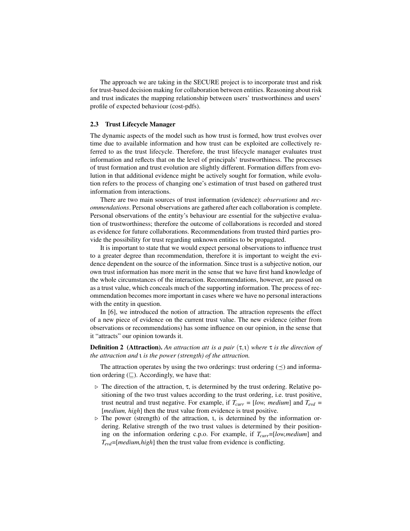The approach we are taking in the SECURE project is to incorporate trust and risk for trust-based decision making for collaboration between entities. Reasoning about risk and trust indicates the mapping relationship between users' trustworthiness and users' profile of expected behaviour (cost-pdfs).

# **2.3 Trust Lifecycle Manager**

The dynamic aspects of the model such as how trust is formed, how trust evolves over time due to available information and how trust can be exploited are collectively referred to as the trust lifecycle. Therefore, the trust lifecycle manager evaluates trust information and reflects that on the level of principals' trustworthiness. The processes of trust formation and trust evolution are slightly different. Formation differs from evolution in that additional evidence might be actively sought for formation, while evolution refers to the process of changing one's estimation of trust based on gathered trust information from interactions.

There are two main sources of trust information (evidence): *observations* and *recommendations*. Personal observations are gathered after each collaboration is complete. Personal observations of the entity's behaviour are essential for the subjective evaluation of trustworthiness; therefore the outcome of collaborations is recorded and stored as evidence for future collaborations. Recommendations from trusted third parties provide the possibility for trust regarding unknown entities to be propagated.

It is important to state that we would expect personal observations to influence trust to a greater degree than recommendation, therefore it is important to weight the evidence dependent on the source of the information. Since trust is a subjective notion, our own trust information has more merit in the sense that we have first hand knowledge of the whole circumstances of the interaction. Recommendations, however, are passed on as a trust value, which conceals much of the supporting information. The process of recommendation becomes more important in cases where we have no personal interactions with the entity in question.

In [6], we introduced the notion of attraction. The attraction represents the effect of a new piece of evidence on the current trust value. The new evidence (either from observations or recommendations) has some influence on our opinion, in the sense that it "attracts" our opinion towards it.

**Definition 2 (Attraction).** *An attraction att is a pair* (τ,ι) *where* τ *is the direction of the attraction and* ι *is the power (strength) of the attraction.*

The attraction operates by using the two orderings: trust ordering  $(\preceq)$  and information ordering  $(\sqsubseteq)$ . Accordingly, we have that:

- $\triangleright$  The direction of the attraction,  $\tau$ , is determined by the trust ordering. Relative positioning of the two trust values according to the trust ordering, i.e. trust positive, trust neutral and trust negative. For example, if  $T_{curr} = [low, medium]$  and  $T_{evd} =$ [*medium, high*] then the trust value from evidence is trust positive.
- ⊲ The power (strength) of the attraction, ι, is determined by the information ordering. Relative strength of the two trust values is determined by their positioning on the information ordering c.p.o. For example, if *Tcurr*=[*low,medium*] and *Tevd*=[*medium,high*] then the trust value from evidence is conflicting.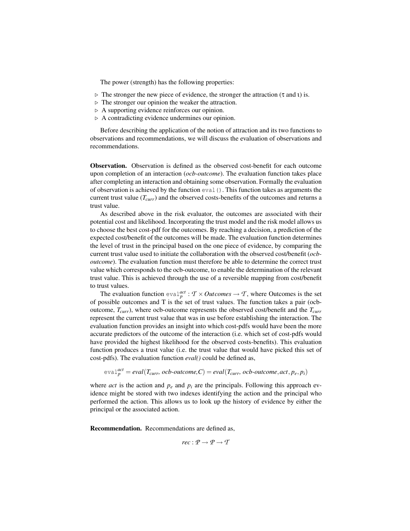The power (strength) has the following properties:

- $\triangleright$  The stronger the new piece of evidence, the stronger the attraction (τ and ι) is.
- ⊲ The stronger our opinion the weaker the attraction.
- ⊲ A supporting evidence reinforces our opinion.
- ⊲ A contradicting evidence undermines our opinion.

Before describing the application of the notion of attraction and its two functions to observations and recommendations, we will discuss the evaluation of observations and recommendations.

**Observation.** Observation is defined as the observed cost-benefit for each outcome upon completion of an interaction (*ocb-outcome*). The evaluation function takes place after completing an interaction and obtaining some observation. Formally the evaluation of observation is achieved by the function eval(). This function takes as arguments the current trust value  $(T<sub>curr</sub>)$  and the observed costs-benefits of the outcomes and returns a trust value.

As described above in the risk evaluator, the outcomes are associated with their potential cost and likelihood. Incorporating the trust model and the risk model allows us to choose the best cost-pdf for the outcomes. By reaching a decision, a prediction of the expected cost/benefit of the outcomes will be made. The evaluation function determines the level of trust in the principal based on the one piece of evidence, by comparing the current trust value used to initiate the collaboration with the observed cost/benefit (*ocboutcome*). The evaluation function must therefore be able to determine the correct trust value which corresponds to the ocb-outcome, to enable the determination of the relevant trust value. This is achieved through the use of a reversible mapping from cost/benefit to trust values.

The evaluation function  $eval_{p}^{act}: T \times Outcomes \rightarrow T$ , where Outcomes is the set of possible outcomes and T is the set of trust values. The function takes a pair (ocboutcome, *Tcurr*), where ocb-outcome represents the observed cost/benefit and the *Tcurr* represent the current trust value that was in use before establishing the interaction. The evaluation function provides an insight into which cost-pdfs would have been the more accurate predictors of the outcome of the interaction (i.e. which set of cost-pdfs would have provided the highest likelihood for the observed costs-benefits). This evaluation function produces a trust value (i.e. the trust value that would have picked this set of cost-pdfs). The evaluation function *eval()* could be defined as,

$$
eval_{p}^{act} = eval(T_{curr}, ocb-outcome, C) = eval(T_{curr}, ocb-outcome, act, p_e, p_i)
$$

where *act* is the action and  $p_e$  and  $p_i$  are the principals. Following this approach evidence might be stored with two indexes identifying the action and the principal who performed the action. This allows us to look up the history of evidence by either the principal or the associated action.

**Recommendation.** Recommendations are defined as,

$$
rec: \mathcal{P} \to \mathcal{P} \to \mathcal{T}
$$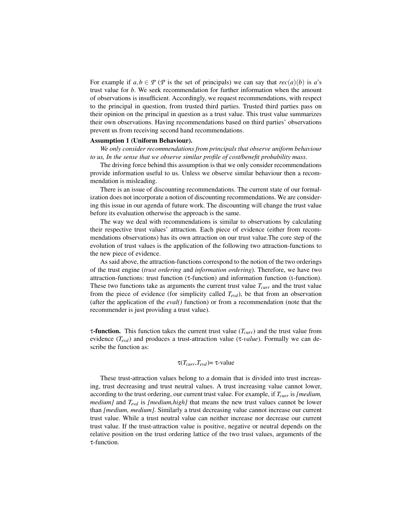For example if  $a, b \in \mathcal{P}$  ( $\mathcal{P}$  is the set of principals) we can say that  $rec(a)(b)$  is  $a$ 's trust value for *b*. We seek recommendation for further information when the amount of observations is insufficient. Accordingly, we request recommendations, with respect to the principal in question, from trusted third parties. Trusted third parties pass on their opinion on the principal in question as a trust value. This trust value summarizes their own observations. Having recommendations based on third parties' observations prevent us from receiving second hand recommendations.

#### **Assumption 1 (Uniform Behaviour).**

*We only consider recommendations from principals that observe uniform behaviour to us, In the sense that we observe similar profile of cost/benefit probability mass*.

The driving force behind this assumption is that we only consider recommendations provide information useful to us. Unless we observe similar behaviour then a recommendation is misleading.

There is an issue of discounting recommendations. The current state of our formalization does not incorporate a notion of discounting recommendations. We are considering this issue in our agenda of future work. The discounting will change the trust value before its evaluation otherwise the approach is the same.

The way we deal with recommendations is similar to observations by calculating their respective trust values' attraction. Each piece of evidence (either from recommendations observations) has its own attraction on our trust value.The core step of the evolution of trust values is the application of the following two attraction-functions to the new piece of evidence.

As said above, the attraction-functions correspond to the notion of the two orderings of the trust engine (*trust ordering* and *information ordering*). Therefore, we have two attraction-functions: trust function (τ-function) and information function (ι-function). These two functions take as arguments the current trust value *Tcurr* and the trust value from the piece of evidence (for simplicity called *Tevd*), be that from an observation (after the application of the *eval()* function) or from a recommendation (note that the recommender is just providing a trust value).

τ**-function.** This function takes the current trust value (*Tcurr*) and the trust value from evidence (*Tevd*) and produces a trust-attraction value (τ*-value*). Formally we can describe the function as:

$$
\tau(T_{curr}, T_{evd}) = \tau\text{-value}
$$

These trust-attraction values belong to a domain that is divided into trust increasing, trust decreasing and trust neutral values. A trust increasing value cannot lower, according to the trust ordering, our current trust value. For example, if *Tcurr* is *[medium, medium]* and *Tevd* is *[medium,high]* that means the new trust values cannot be lower than *[medium, medium]*. Similarly a trust decreasing value cannot increase our current trust value. While a trust neutral value can neither increase nor decrease our current trust value. If the trust-attraction value is positive, negative or neutral depends on the relative position on the trust ordering lattice of the two trust values, arguments of the τ-function.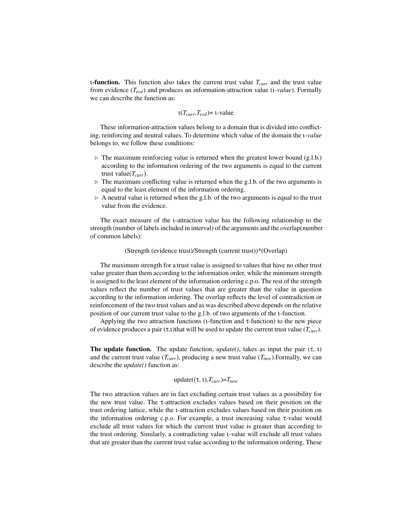ι**-function.** This function also takes the current trust value *Tcurr* and the trust value from evidence (*Tevd*) and produces an information-attraction value (ι*-value*). Formally we can describe the function as:

$$
\iota(T_{curr}, T_{evd}) = \text{t-value}
$$

These information-attraction values belong to a domain that is divided into conflicting, reinforcing and neutral values. To determine which value of the domain the ι*-value* belongs to, we follow these conditions:

- ⊲ The maximum reinforcing value is returned when the greatest lower bound (g.l.b.) according to the information ordering of the two arguments is equal to the current trust value(*Tcurr*).
- $\triangleright$  The maximum conflicting value is returned when the g.l.b. of the two arguments is equal to the least element of the information ordering.
- $\triangleright$  A neutral value is returned when the g.l.b. of the two arguments is equal to the trust value from the evidence.

The exact measure of the *u*-attraction value has the following relationship to the strength (number of labels included in interval) of the arguments and the overlap(number of common labels):

#### (Strength (evidence trust)/Strength (current trust))\*(Overlap)

The maximum strength for a trust value is assigned to values that have no other trust value greater than them according to the information order, while the minimum strength is assigned to the least element of the information ordering c.p.o. The rest of the strength values reflect the number of trust values that are greater than the value in question according to the information ordering. The overlap reflects the level of contradiction or reinforcement of the two trust values and as was described above depends on the relative position of our current trust value to the g.l.b. of two arguments of the ι-function.

Applying the two attraction functions (ι-function and τ-function) to the new piece of evidence produces a pair (τ,ι)that will be used to update the current trust value ( $T_{curr}$ ).

**The update function.** The update function,  $update()$ , takes as input the pair  $(\tau, \tau)$ and the current trust value  $(T_{curr})$ , producing a new trust value  $(T_{new})$ . Formally, we can describe the *update()* function as:

$$
update((\tau, \iota), T_{curr}) = T_{new}
$$

The two attraction values are in fact excluding certain trust values as a possibility for the new trust value. The τ-attraction excludes values based on their position on the trust ordering lattice, while the ι-attraction excludes values based on their position on the information ordering c.p.o. For example, a trust increasing value τ-value would exclude all trust values for which the current trust value is greater than according to the trust ordering. Similarly, a contradicting value ι-value will exclude all trust values that are greater than the current trust value according to the information ordering. These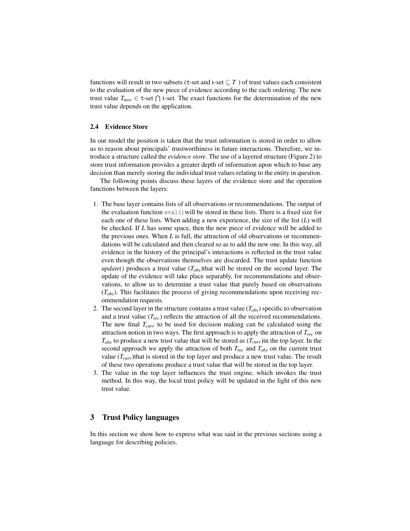functions will result in two subsets ( $\tau$ -set and  $\iota$ -set  $\subseteq T$ ) of trust values each consistent to the evaluation of the new piece of evidence according to the each ordering. The new trust value  $T_{new} \in \tau$ -set  $\bigcap$  t-set. The exact functions for the determination of the new trust value depends on the application.

#### **2.4 Evidence Store**

In our model the position is taken that the trust information is stored in order to allow us to reason about principals' trustworthiness in future interactions. Therefore, we introduce a structure called the *evidence store*. The use of a layered structure (Figure 2) to store trust information provides a greater depth of information upon which to base any decision than merely storing the individual trust values relating to the entity in question.

The following points discuss these layers of the evidence store and the operation functions between the layers:

- 1. The base layer contains lists of all observations or recommendations. The output of the evaluation function  $eval()$  will be stored in these lists. There is a fixed size for each one of these lists. When adding a new experience, the size of the list (*L*) will be checked. If *L* has some space, then the new piece of evidence will be added to the previous ones. When *L* is full, the attraction of old observations or recommendations will be calculated and then cleared so as to add the new one. In this way, all evidence in the history of the principal's interactions is reflected in the trust value even though the observations themselves are discarded. The trust update function *update()* produces a trust value  $(T_{obs})$ that will be stored on the second layer. The update of the evidence will take place separably, for recommendations and observations, to allow us to determine a trust value that purely based on observations (*Tobs*). This facilitates the process of giving recommendations upon receiving recommendation requests.
- 2. The second layer in the structure contains a trust value (*Tobs*) specific to observation and a trust value  $(T_{rec})$  reflects the attraction of all the received recommendations. The new final *Tcurr* to be used for decision making can be calculated using the attraction notion in two ways. The first approach is to apply the attraction of *Trec* on *Tobs* to produce a new trust value that will be stored as (*Tcurr*)in the top layer. In the second approach we apply the attraction of both  $T_{rec}$  and  $T_{obs}$  on the current trust value (*Tcurr*)that is stored in the top layer and produce a new trust value. The result of these two operations produce a trust value that will be stored in the top layer.
- 3. The value in the top layer influences the trust engine, which invokes the trust method. In this way, the local trust policy will be updated in the light of this new trust value.

## **3 Trust Policy languages**

In this section we show how to express what was said in the previous sections using a language for describing policies.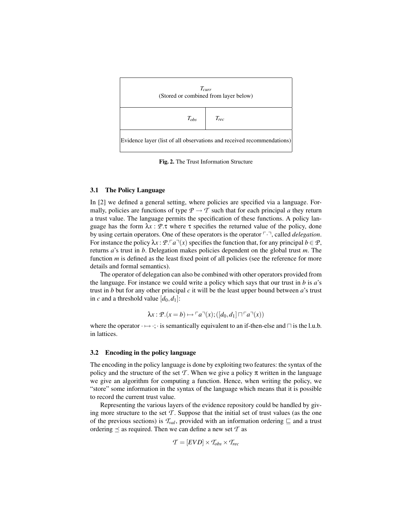

**Fig. 2.** The Trust Information Structure

#### **3.1 The Policy Language**

In [2] we defined a general setting, where policies are specified via a language. Formally, policies are functions of type  $P \rightarrow T$  such that for each principal *a* they return a trust value. The language permits the specification of these functions. A policy language has the form  $\lambda x : P.\tau$  where  $\tau$  specifies the returned value of the policy, done by using certain operators. One of these operators is the operator  $\lceil \cdot \rceil$ , called *delegation*. For instance the policy  $\lambda x : \mathcal{P} \cdot \lceil a \rceil(x)$  specifies the function that, for any principal  $b \in \mathcal{P}$ , returns *a*'s trust in *b*. Delegation makes policies dependent on the global trust *m*. The function *m* is defined as the least fixed point of all policies (see the reference for more details and formal semantics).

The operator of delegation can also be combined with other operators provided from the language. For instance we could write a policy which says that our trust in *b* is *a*'s trust in *b* but for any other principal *c* it will be the least upper bound between *a*'s trust in *c* and a threshold value  $[d_0, d_1]$ :

$$
\lambda x : \mathcal{P}.(x=b) \mapsto \ulcorner a \urcorner (x) ; ([d_0, d_1] \sqcap \ulcorner a \urcorner (x))
$$

where the operator  $\cdot \mapsto \cdot$ ; $\cdot$  is semantically equivalent to an if-then-else and  $\cap$  is the l.u.b. in lattices.

#### **3.2 Encoding in the policy language**

The encoding in the policy language is done by exploiting two features: the syntax of the policy and the structure of the set  $\mathcal T$ . When we give a policy  $\pi$  written in the language we give an algorithm for computing a function. Hence, when writing the policy, we "store" some information in the syntax of the language which means that it is possible to record the current trust value.

Representing the various layers of the evidence repository could be handled by giving more structure to the set *T* . Suppose that the initial set of trust values (as the one of the previous sections) is  $\mathcal{T}_{val}$ , provided with an information ordering  $\sqsubseteq$  and a trust ordering  $\leq$  as required. Then we can define a new set  $\mathcal T$  as

$$
\mathcal{T} = [EVD] \times T_{obs} \times T_{rec}
$$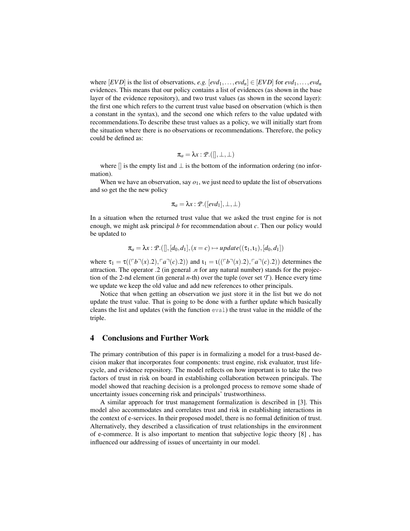where  $[EVD]$  is the list of observations, *e.g.*  $[evd_1, \ldots, evd_n] \in [EVD]$  for  $evd_1, \ldots, evd_n$ evidences. This means that our policy contains a list of evidences (as shown in the base layer of the evidence repository), and two trust values (as shown in the second layer): the first one which refers to the current trust value based on observation (which is then a constant in the syntax), and the second one which refers to the value updated with recommendations.To describe these trust values as a policy, we will initially start from the situation where there is no observations or recommendations. Therefore, the policy could be defined as:

$$
\pi_a = \lambda x : \mathcal{P}.([\,], \perp, \perp)
$$

where  $\parallel$  is the empty list and  $\perp$  is the bottom of the information ordering (no information).

When we have an observation, say  $o_1$ , we just need to update the list of observations and so get the the new policy

$$
\pi_a = \lambda x : \mathcal{P}.([evd_1], \perp, \perp)
$$

In a situation when the returned trust value that we asked the trust engine for is not enough, we might ask principal *b* for recommendation about *c*. Then our policy would be updated to

$$
\pi_a = \lambda x : \mathcal{P}.([\,],[d_0,d_1],(x=c) \mapsto update((\tau_1,\iota_1),[d_0,d_1])
$$

where  $\tau_1 = \tau((\ulcorner b\urcorner(x).2),\ulcorner a\urcorner(c).2))$  and  $\tau_1 = \tau((\ulcorner b\urcorner(x).2),\ulcorner a\urcorner(c).2))$  determines the attraction. The operator .2 (in general .*n* for any natural number) stands for the projection of the 2-nd element (in general *n*-th) over the tuple (over set  $\mathcal{T}$ ). Hence every time we update we keep the old value and add new references to other principals.

Notice that when getting an observation we just store it in the list but we do not update the trust value. That is going to be done with a further update which basically cleans the list and updates (with the function eval) the trust value in the middle of the triple.

#### **4 Conclusions and Further Work**

The primary contribution of this paper is in formalizing a model for a trust-based decision maker that incorporates four components: trust engine, risk evaluator, trust lifecycle, and evidence repository. The model reflects on how important is to take the two factors of trust in risk on board in establishing collaboration between principals. The model showed that reaching decision is a prolonged process to remove some shade of uncertainty issues concerning risk and principals' trustworthiness.

A similar approach for trust management formalization is described in [3]. This model also accommodates and correlates trust and risk in establishing interactions in the context of e-services. In their proposed model, there is no formal definition of trust. Alternatively, they described a classification of trust relationships in the environment of e-commerce. It is also important to mention that subjective logic theory [8] , has influenced our addressing of issues of uncertainty in our model.